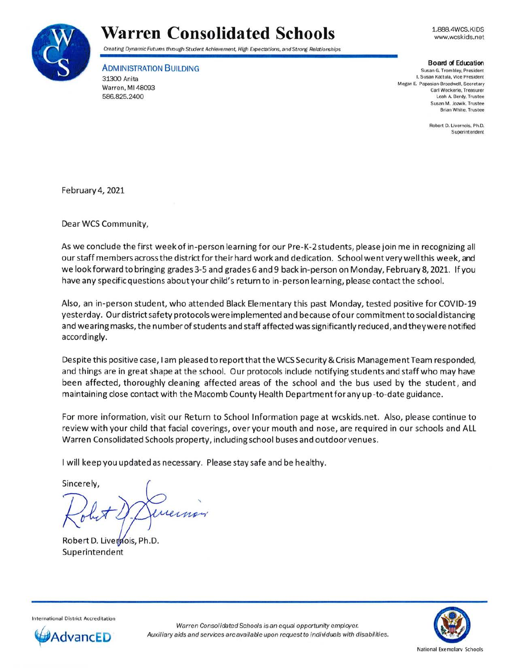

## **Warren Consolidated Schools**

1.888.4WCS.KIDS www.wcsk ids.net

Creating Dynamic Futures through Student Achievernent, High Expectations, and Strorg Relationships

ADMINISTRATION BUILDING

31300 Anita Warren, Ml 48093 586.825.2400

**Board of Education** 

Susan G. Trom bley. President L Susan Kattula, Vice President Megan E. Papasian-Broadwell, Secretary Carl Weckerle, Treasurer Leah A. Berdy. Trustee Susan M. Jowik. Trustee Brian White, Trustee

> Robert D. Livernois, Ph.D. Superintendent

February 4, 2021

Dear WCS Community,

As we conclude the first week of in-person learning for our Pre-K-2 students, please join me in recognizing all our staff members across the district for their hard work and dedication. School went very well this week, and we look forward to bringing grades 3-5 and grades 6 and 9 back in-person on Monday, February 8, 2021. If you have any specific questions about your child's return to in-person learning, please contact the school.

Also, an in-person student, who attended Black Elementary this past Monday, tested positive for COVID-19 yesterday. Our district safety protocols were implemented and because ofour commitment to social distancing and wearing masks, the number of students and staff affected was significantly reduced, and they were notified accordingly.

Despite this positive case, I am pleased to report that the WCS Security & Crisis Management Team responded, and things are in great shape at the school. Our protocols include notifying students and staff who may have been affected, thoroughly cleaning affected areas of the school and the bus used by the student, and maintaining close contact with the Macomb County Health Department for any up-to-date guidance.

For more information, visit our Return to School Information page at wcskids.net. Also, please continue to review with your child that facial coverings, over your mouth and nose, are required in our schools and ALL Warren Consolidated Schools property, including school buses and outdoor venues.

I will keep you updated as necessary. Please stay safe and be healthy.

Sincerely,

 $\lambda$ 

Robert D. Liverpois, Ph.D. **Superintendent** 



Internatio nal District Accreditation



National Exe molarv Schools